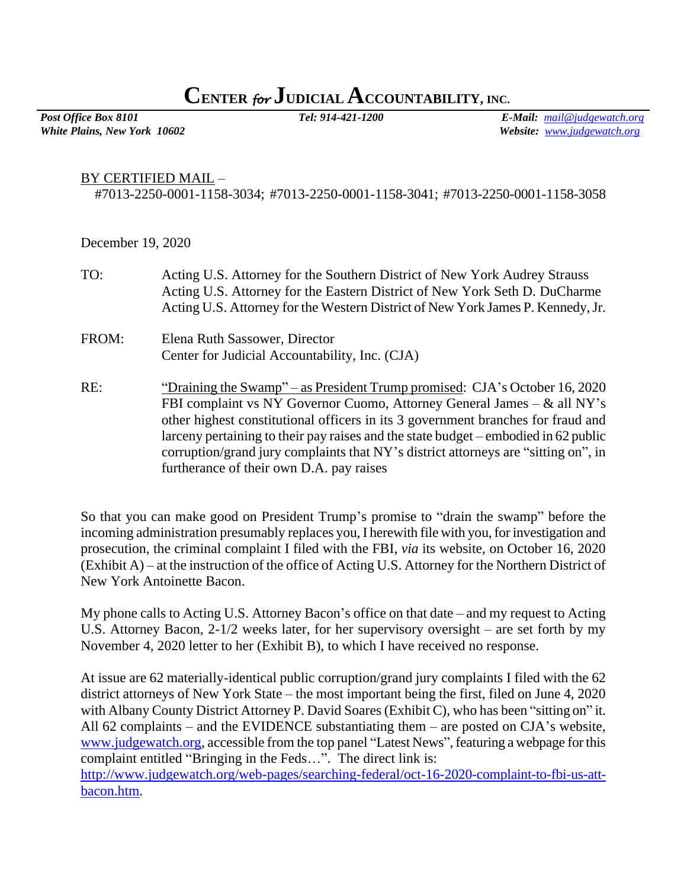## **CENTER** *for* **JUDICIAL ACCOUNTABILITY, INC.**

*White Plains, New York 10602 Website: [www.judgewatch.org](http://www.judgewatch.org/)*

*Post Office Box 8101 Tel: 914-421-1200 E-Mail: [mail@judgewatch.org](mailto:mail@judgewatch.org)*

## BY CERTIFIED MAIL –

#7013-2250-0001-1158-3034; #7013-2250-0001-1158-3041; #7013-2250-0001-1158-3058

December 19, 2020

| TO:   | Acting U.S. Attorney for the Southern District of New York Audrey Strauss<br>Acting U.S. Attorney for the Eastern District of New York Seth D. DuCharme<br>Acting U.S. Attorney for the Western District of New York James P. Kennedy, Jr.                                                                                                                                                                                                                           |
|-------|----------------------------------------------------------------------------------------------------------------------------------------------------------------------------------------------------------------------------------------------------------------------------------------------------------------------------------------------------------------------------------------------------------------------------------------------------------------------|
| FROM: | Elena Ruth Sassower, Director<br>Center for Judicial Accountability, Inc. (CJA)                                                                                                                                                                                                                                                                                                                                                                                      |
| RE:   | "Draining the Swamp" – as President Trump promised: CJA's October 16, 2020<br>FBI complaint vs NY Governor Cuomo, Attorney General James $-\&$ all NY's<br>other highest constitutional officers in its 3 government branches for fraud and<br>larceny pertaining to their pay raises and the state budget – embodied in 62 public<br>corruption/grand jury complaints that NY's district attorneys are "sitting on", in<br>furtherance of their own D.A. pay raises |

So that you can make good on President Trump's promise to "drain the swamp" before the incoming administration presumably replaces you, I herewith file with you, for investigation and prosecution, the criminal complaint I filed with the FBI, *via* its website, on October 16, 2020 (Exhibit A) – at the instruction of the office of Acting U.S. Attorney for the Northern District of New York Antoinette Bacon.

My phone calls to Acting U.S. Attorney Bacon's office on that date – and my request to Acting U.S. Attorney Bacon, 2-1/2 weeks later, for her supervisory oversight – are set forth by my November 4, 2020 letter to her (Exhibit B), to which I have received no response.

At issue are 62 materially-identical public corruption/grand jury complaints I filed with the 62 district attorneys of New York State – the most important being the first, filed on June 4, 2020 with Albany County District Attorney P. David Soares (Exhibit C), who has been "sitting on" it. All 62 complaints – and the EVIDENCE substantiating them – are posted on CJA's website, [www.judgewatch.org,](http://www.judgewatch.org/) accessible from the top panel "Latest News", featuring a webpage for this complaint entitled "Bringing in the Feds…". The direct link is: [http://www.judgewatch.org/web-pages/searching-federal/oct-16-2020-complaint-to-fbi-us-att](http://www.judgewatch.org/web-pages/searching-federal/oct-16-2020-complaint-to-fbi-us-att-bacon.htm)[bacon.htm.](http://www.judgewatch.org/web-pages/searching-federal/oct-16-2020-complaint-to-fbi-us-att-bacon.htm)